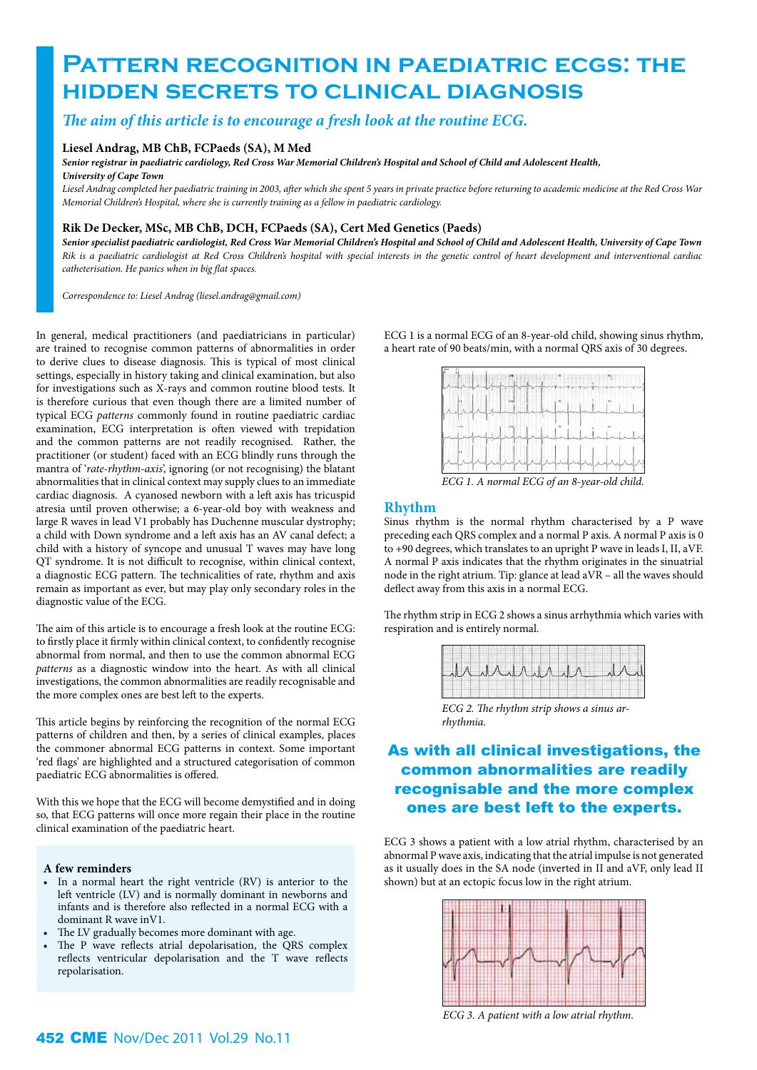# **PATTERN RECOGNITION IN PAEDIATRIC ECGS: THE hidden secrets to clinical diagnosis**

## *The aim of this article is to encourage a fresh look at the routine ECG.*

#### **Liesel Andrag, MB ChB, FCPaeds (SA), M Med**

*Senior registrar in paediatric cardiology, Red Cross War Memorial Children's Hospital and School of Child and Adolescent Health, University of Cape Town*

*Liesel Andrag completed her paediatric training in 2003, after which she spent 5 years in private practice before returning to academic medicine at the Red Cross War Memorial Children's Hospital, where she is currently training as a fellow in paediatric cardiology.* 

### **Rik De Decker, MSc, MB ChB, DCH, FCPaeds (SA), Cert Med Genetics (Paeds)**

*Senior specialist paediatric cardiologist, Red Cross War Memorial Children's Hospital and School of Child and Adolescent Health, University of Cape Town Rik is a paediatric cardiologist at Red Cross Children's hospital with special interests in the genetic control of heart development and interventional cardiac catheterisation. He panics when in big flat spaces.* 

*Correspondence to: Liesel Andrag (liesel.andrag@gmail.com)*

In general, medical practitioners (and paediatricians in particular) are trained to recognise common patterns of abnormalities in order to derive clues to disease diagnosis. This is typical of most clinical settings, especially in history taking and clinical examination, but also for investigations such as X-rays and common routine blood tests. It is therefore curious that even though there are a limited number of typical ECG *patterns* commonly found in routine paediatric cardiac examination, ECG interpretation is often viewed with trepidation and the common patterns are not readily recognised. Rather, the practitioner (or student) faced with an ECG blindly runs through the mantra of '*rate-rhythm-axis*', ignoring (or not recognising) the blatant abnormalities that in clinical context may supply clues to an immediate cardiac diagnosis. A cyanosed newborn with a left axis has tricuspid atresia until proven otherwise; a 6-year-old boy with weakness and large R waves in lead V1 probably has Duchenne muscular dystrophy; a child with Down syndrome and a left axis has an AV canal defect; a child with a history of syncope and unusual T waves may have long QT syndrome. It is not difficult to recognise, within clinical context, a diagnostic ECG pattern. The technicalities of rate, rhythm and axis remain as important as ever, but may play only secondary roles in the diagnostic value of the ECG.

The aim of this article is to encourage a fresh look at the routine ECG: to firstly place it firmly within clinical context, to confidently recognise abnormal from normal, and then to use the common abnormal ECG *patterns* as a diagnostic window into the heart. As with all clinical investigations, the common abnormalities are readily recognisable and the more complex ones are best left to the experts.

This article begins by reinforcing the recognition of the normal ECG patterns of children and then, by a series of clinical examples, places the commoner abnormal ECG patterns in context. Some important 'red flags' are highlighted and a structured categorisation of common paediatric ECG abnormalities is offered.

With this we hope that the ECG will become demystified and in doing so, that ECG patterns will once more regain their place in the routine clinical examination of the paediatric heart.

### **A few reminders**

- • In a normal heart the right ventricle (RV) is anterior to the left ventricle (LV) and is normally dominant in newborns and infants and is therefore also reflected in a normal ECG with a dominant R wave inV1.
- The LV gradually becomes more dominant with age.
- The P wave reflects atrial depolarisation, the QRS complex reflects ventricular depolarisation and the T wave reflects repolarisation.

ECG 1 is a normal ECG of an 8-year-old child, showing sinus rhythm, a heart rate of 90 beats/min, with a normal QRS axis of 30 degrees.



*ECG 1. A normal ECG of an 8-year-old child.*

#### **Rhythm**

Sinus rhythm is the normal rhythm characterised by a P wave preceding each QRS complex and a normal P axis. A normal P axis is 0 to +90 degrees, which translates to an upright P wave in leads I, II, aVF. A normal P axis indicates that the rhythm originates in the sinuatrial node in the right atrium. Tip: glance at lead aVR – all the waves should deflect away from this axis in a normal ECG.

The rhythm strip in ECG 2 shows a sinus arrhythmia which varies with respiration and is entirely normal.

|  |  | winderded in |
|--|--|--------------|
|  |  |              |

*ECG 2. The rhythm strip shows a sinus arrhythmia.*

## As with all clinical investigations, the common abnormalities are readily recognisable and the more complex ones are best left to the experts.

ECG 3 shows a patient with a low atrial rhythm, characterised by an abnormal P wave axis, indicating that the atrial impulse is not generated as it usually does in the SA node (inverted in II and aVF, only lead II shown) but at an ectopic focus low in the right atrium.



*ECG 3. A patient with a low atrial rhythm.*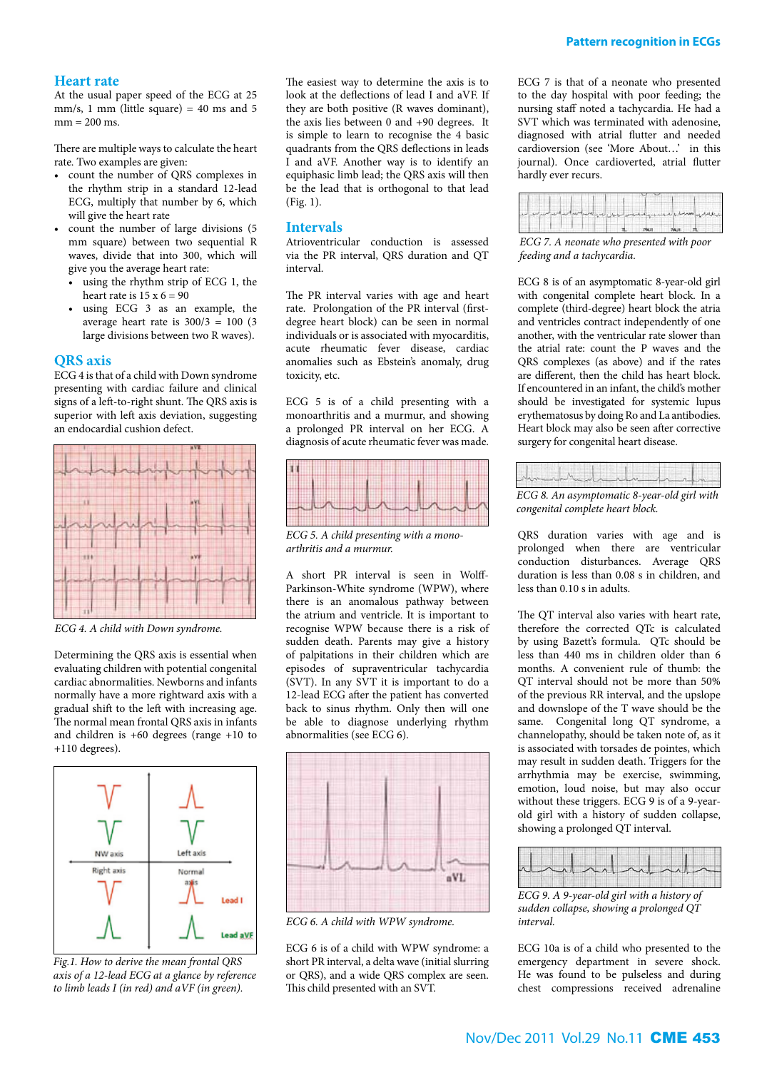At the usual paper speed of the ECG at 25 mm/s, 1 mm (little square) = 40 ms and 5  $mm = 200$  ms.

There are multiple ways to calculate the heart rate. Two examples are given:

- • count the number of QRS complexes in the rhythm strip in a standard 12-lead ECG, multiply that number by 6, which will give the heart rate
- count the number of large divisions (5 mm square) between two sequential R waves, divide that into 300, which will give you the average heart rate:
	- using the rhythm strip of ECG 1, the heart rate is  $15 \times 6 = 90$
	- • using ECG 3 as an example, the average heart rate is  $300/3 = 100$  (3) large divisions between two R waves).

#### **QRS axis**

ECG 4 is that of a child with Down syndrome presenting with cardiac failure and clinical signs of a left-to-right shunt. The QRS axis is superior with left axis deviation, suggesting an endocardial cushion defect.



*ECG 4. A child with Down syndrome.*

Determining the QRS axis is essential when evaluating children with potential congenital cardiac abnormalities. Newborns and infants normally have a more rightward axis with a gradual shift to the left with increasing age. The normal mean frontal QRS axis in infants and children is +60 degrees (range +10 to +110 degrees).



*Fig.1. How to derive the mean frontal QRS axis of a 12-lead ECG at a glance by reference to limb leads I (in red) and aVF (in green).*

The easiest way to determine the axis is to look at the deflections of lead I and aVF. If they are both positive (R waves dominant), the axis lies between 0 and +90 degrees. It is simple to learn to recognise the 4 basic quadrants from the QRS deflections in leads I and aVF. Another way is to identify an equiphasic limb lead; the QRS axis will then be the lead that is orthogonal to that lead (Fig. 1).

#### **Intervals**

Atrioventricular conduction is assessed via the PR interval, QRS duration and QT interval.

The PR interval varies with age and heart rate. Prolongation of the PR interval (firstdegree heart block) can be seen in normal individuals or is associated with myocarditis, acute rheumatic fever disease, cardiac anomalies such as Ebstein's anomaly, drug toxicity, etc.

ECG 5 is of a child presenting with a monoarthritis and a murmur, and showing a prolonged PR interval on her ECG. A diagnosis of acute rheumatic fever was made.



*ECG 5. A child presenting with a monoarthritis and a murmur.*

A short PR interval is seen in Wolff-Parkinson-White syndrome (WPW), where there is an anomalous pathway between the atrium and ventricle. It is important to recognise WPW because there is a risk of sudden death. Parents may give a history of palpitations in their children which are episodes of supraventricular tachycardia (SVT). In any SVT it is important to do a 12-lead ECG after the patient has converted back to sinus rhythm. Only then will one be able to diagnose underlying rhythm abnormalities (see ECG 6).



*ECG 6. A child with WPW syndrome.*

ECG 6 is of a child with WPW syndrome: a short PR interval, a delta wave (initial slurring or QRS), and a wide QRS complex are seen. This child presented with an SVT.

ECG 7 is that of a neonate who presented to the day hospital with poor feeding; the nursing staff noted a tachycardia. He had a SVT which was terminated with adenosine, diagnosed with atrial flutter and needed cardioversion (see 'More About…' in this journal). Once cardioverted, atrial flutter hardly ever recurs.

| مبادراتي العامرين أمصيهم سلمديا كتصريف ومرتب أسدامه وسياسران أريسها وأسميته أسمعه أسماء أسماء فسمار |  |  |  |
|-----------------------------------------------------------------------------------------------------|--|--|--|
|                                                                                                     |  |  |  |

*ECG 7. A neonate who presented with poor feeding and a tachycardia.*

ECG 8 is of an asymptomatic 8-year-old girl with congenital complete heart block. In a complete (third-degree) heart block the atria and ventricles contract independently of one another, with the ventricular rate slower than the atrial rate: count the P waves and the QRS complexes (as above) and if the rates are different, then the child has heart block. If encountered in an infant, the child's mother should be investigated for systemic lupus erythematosus by doing Ro and La antibodies. Heart block may also be seen after corrective surgery for congenital heart disease.

|--|

*ECG 8. An asymptomatic 8-year-old girl with congenital complete heart block.*

QRS duration varies with age and is prolonged when there are ventricular conduction disturbances. Average QRS duration is less than 0.08 s in children, and less than 0.10 s in adults.

The QT interval also varies with heart rate, therefore the corrected QTc is calculated by using Bazett's formula. QTc should be less than 440 ms in children older than 6 months. A convenient rule of thumb: the QT interval should not be more than 50% of the previous RR interval, and the upslope and downslope of the T wave should be the same. Congenital long QT syndrome, a channelopathy, should be taken note of, as it is associated with torsades de pointes, which may result in sudden death. Triggers for the arrhythmia may be exercise, swimming, emotion, loud noise, but may also occur without these triggers. ECG 9 is of a 9-yearold girl with a history of sudden collapse, showing a prolonged QT interval.



*ECG 9. A 9-year-old girl with a history of sudden collapse, showing a prolonged QT interval.*

ECG 10a is of a child who presented to the emergency department in severe shock. He was found to be pulseless and during chest compressions received adrenaline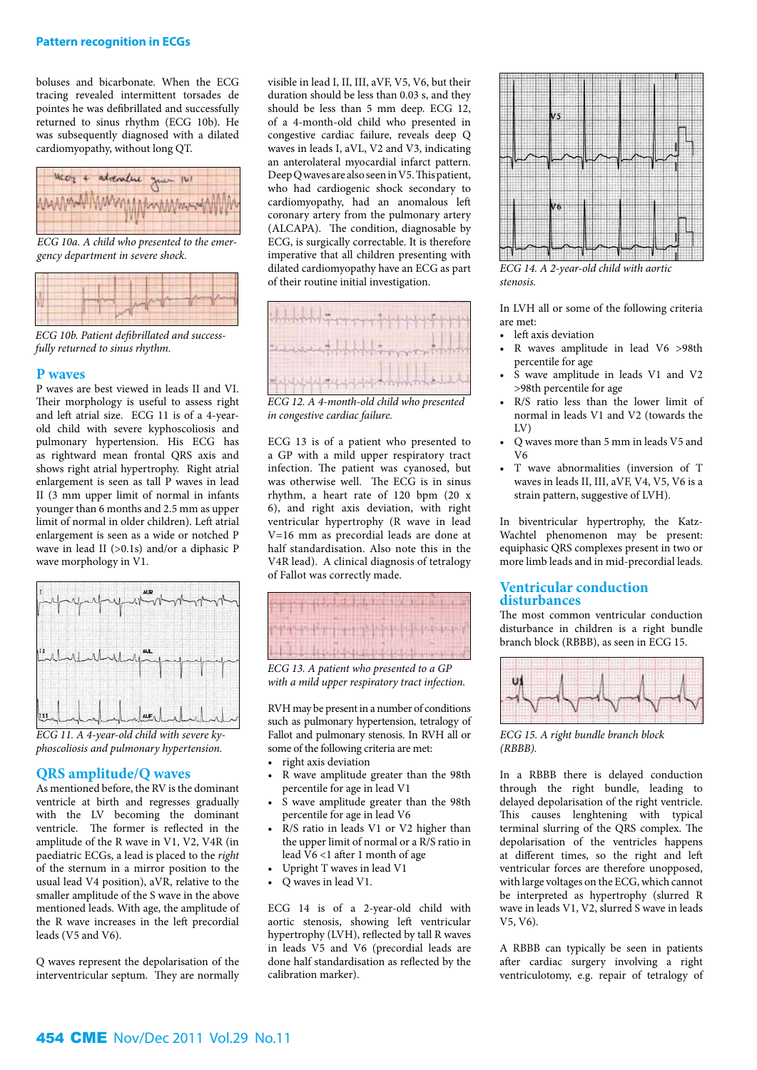boluses and bicarbonate. When the ECG tracing revealed intermittent torsades de pointes he was defibrillated and successfully returned to sinus rhythm (ECG 10b). He was subsequently diagnosed with a dilated cardiomyopathy, without long QT.



*ECG 10a. A child who presented to the emergency department in severe shock.*

| TWA T |  |  |  |
|-------|--|--|--|
|       |  |  |  |

*ECG 10b. Patient defibrillated and successfully returned to sinus rhythm.* 

#### **P waves**

P waves are best viewed in leads II and VI. Their morphology is useful to assess right and left atrial size. ECG 11 is of a 4-yearold child with severe kyphoscoliosis and pulmonary hypertension. His ECG has as rightward mean frontal QRS axis and shows right atrial hypertrophy. Right atrial enlargement is seen as tall P waves in lead II (3 mm upper limit of normal in infants younger than 6 months and 2.5 mm as upper limit of normal in older children). Left atrial enlargement is seen as a wide or notched P wave in lead II (>0.1s) and/or a diphasic P wave morphology in V1.



*ECG 11. A 4-year-old child with severe kyphoscoliosis and pulmonary hypertension.*

#### **QRS amplitude/Q waves**

As mentioned before, the RV is the dominant ventricle at birth and regresses gradually with the LV becoming the dominant ventricle. The former is reflected in the amplitude of the R wave in V1, V2, V4R (in paediatric ECGs, a lead is placed to the *right* of the sternum in a mirror position to the usual lead V4 position), aVR, relative to the smaller amplitude of the S wave in the above mentioned leads. With age, the amplitude of the R wave increases in the left precordial leads (V5 and V6).

Q waves represent the depolarisation of the interventricular septum. They are normally visible in lead I, II, III, aVF, V5, V6, but their duration should be less than 0.03 s, and they should be less than 5 mm deep. ECG 12, of a 4-month-old child who presented in congestive cardiac failure, reveals deep Q waves in leads I, aVL, V2 and V3, indicating an anterolateral myocardial infarct pattern. Deep Q waves are also seen in V5. This patient, who had cardiogenic shock secondary to cardiomyopathy, had an anomalous left coronary artery from the pulmonary artery (ALCAPA). The condition, diagnosable by ECG, is surgically correctable. It is therefore imperative that all children presenting with dilated cardiomyopathy have an ECG as part of their routine initial investigation.



*ECG 12. A 4-month-old child who presented in congestive cardiac failure.*

ECG 13 is of a patient who presented to a GP with a mild upper respiratory tract infection. The patient was cyanosed, but was otherwise well. The ECG is in sinus rhythm, a heart rate of 120 bpm (20 x 6), and right axis deviation, with right ventricular hypertrophy (R wave in lead V=16 mm as precordial leads are done at half standardisation. Also note this in the V4R lead). A clinical diagnosis of tetralogy of Fallot was correctly made.



*ECG 13. A patient who presented to a GP with a mild upper respiratory tract infection.*

RVH may be present in a number of conditions such as pulmonary hypertension, tetralogy of Fallot and pulmonary stenosis. In RVH all or some of the following criteria are met:

- right axis deviation
- R wave amplitude greater than the 98th percentile for age in lead V1
- • S wave amplitude greater than the 98th percentile for age in lead V6
- R/S ratio in leads V1 or V2 higher than the upper limit of normal or a R/S ratio in lead V6 <1 after 1 month of age
- • Upright T waves in lead V1
- Q waves in lead V1.

ECG 14 is of a 2-year-old child with aortic stenosis, showing left ventricular hypertrophy (LVH), reflected by tall R waves in leads V5 and V6 (precordial leads are done half standardisation as reflected by the calibration marker).



*ECG 14. A 2-year-old child with aortic stenosis.*

In LVH all or some of the following criteria are met:

- left axis deviation
- • R waves amplitude in lead V6 >98th percentile for age
- S wave amplitude in leads V1 and V2 >98th percentile for age
- R/S ratio less than the lower limit of normal in leads V1 and V2 (towards the  $\overline{V}$
- • Q waves more than 5 mm in leads V5 and  $V<sub>6</sub>$
- T wave abnormalities (inversion of T waves in leads II, III, aVF, V4, V5, V6 is a strain pattern, suggestive of LVH).

In biventricular hypertrophy, the Katz-Wachtel phenomenon may be present: equiphasic QRS complexes present in two or more limb leads and in mid-precordial leads.

#### **Ventricular conduction disturbances**

The most common ventricular conduction disturbance in children is a right bundle branch block (RBBB), as seen in ECG 15.



*ECG 15. A right bundle branch block (RBBB).*

In a RBBB there is delayed conduction through the right bundle, leading to delayed depolarisation of the right ventricle. This causes lenghtening with typical terminal slurring of the QRS complex. The depolarisation of the ventricles happens at different times, so the right and left ventricular forces are therefore unopposed, with large voltages on the ECG, which cannot be interpreted as hypertrophy (slurred R wave in leads V1, V2, slurred S wave in leads V5, V6).

A RBBB can typically be seen in patients after cardiac surgery involving a right ventriculotomy, e.g. repair of tetralogy of